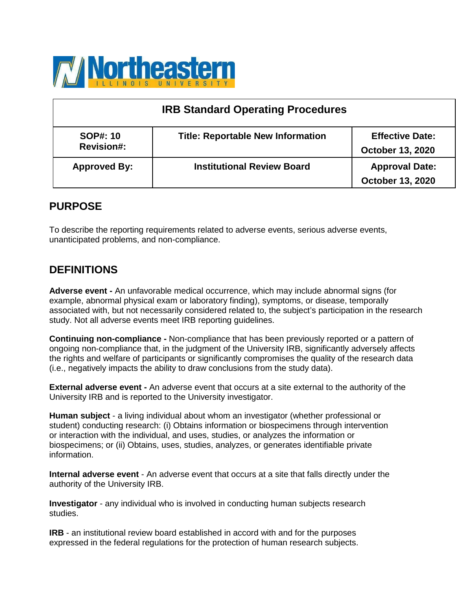

| <b>IRB Standard Operating Procedures</b> |                                          |                                                   |  |
|------------------------------------------|------------------------------------------|---------------------------------------------------|--|
| <b>SOP#: 10</b><br><b>Revision#:</b>     | <b>Title: Reportable New Information</b> | <b>Effective Date:</b><br><b>October 13, 2020</b> |  |
| <b>Approved By:</b>                      | <b>Institutional Review Board</b>        | <b>Approval Date:</b><br><b>October 13, 2020</b>  |  |

# **PURPOSE**

To describe the reporting requirements related to adverse events, serious adverse events, unanticipated problems, and non-compliance.

## **DEFINITIONS**

**Adverse event -** An unfavorable medical occurrence, which may include abnormal signs (for example, abnormal physical exam or laboratory finding), symptoms, or disease, temporally associated with, but not necessarily considered related to, the subject's participation in the research study. Not all adverse events meet IRB reporting guidelines.

**Continuing non-compliance -** Non-compliance that has been previously reported or a pattern of ongoing non-compliance that, in the judgment of the University IRB, significantly adversely affects the rights and welfare of participants or significantly compromises the quality of the research data (i.e., negatively impacts the ability to draw conclusions from the study data).

**External adverse event -** An adverse event that occurs at a site external to the authority of the University IRB and is reported to the University investigator.

**Human subject** - a living individual about whom an investigator (whether professional or student) conducting research: (i) Obtains information or biospecimens through intervention or interaction with the individual, and uses, studies, or analyzes the information or biospecimens; or (ii) Obtains, uses, studies, analyzes, or generates identifiable private information.

**Internal adverse event** - An adverse event that occurs at a site that falls directly under the authority of the University IRB.

**Investigator** - any individual who is involved in conducting human subjects research studies.

**IRB** - an institutional review board established in accord with and for the purposes expressed in the federal regulations for the protection of human research subjects.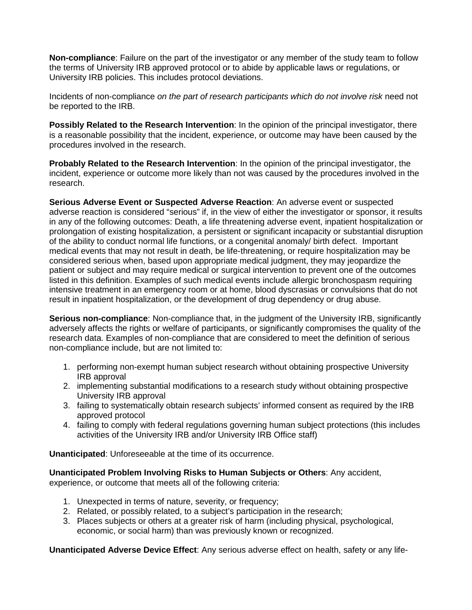**Non-compliance**: Failure on the part of the investigator or any member of the study team to follow the terms of University IRB approved protocol or to abide by applicable laws or regulations, or University IRB policies. This includes protocol deviations.

Incidents of non-compliance *on the part of research participants which do not involve risk* need not be reported to the IRB.

**Possibly Related to the Research Intervention:** In the opinion of the principal investigator, there is a reasonable possibility that the incident, experience, or outcome may have been caused by the procedures involved in the research.

**Probably Related to the Research Intervention**: In the opinion of the principal investigator, the incident, experience or outcome more likely than not was caused by the procedures involved in the research.

**Serious Adverse Event or Suspected Adverse Reaction**: An adverse event or suspected adverse reaction is considered "serious" if, in the view of either the investigator or sponsor, it results in any of the following outcomes: Death, a life threatening adverse event, inpatient hospitalization or prolongation of existing hospitalization, a persistent or significant incapacity or substantial disruption of the ability to conduct normal life functions, or a congenital anomaly/ birth defect. Important medical events that may not result in death, be life-threatening, or require hospitalization may be considered serious when, based upon appropriate medical judgment, they may jeopardize the patient or subject and may require medical or surgical intervention to prevent one of the outcomes listed in this definition. Examples of such medical events include allergic bronchospasm requiring intensive treatment in an emergency room or at home, blood dyscrasias or convulsions that do not result in inpatient hospitalization, or the development of drug dependency or drug abuse.

**Serious non-compliance**: Non-compliance that, in the judgment of the University IRB, significantly adversely affects the rights or welfare of participants, or significantly compromises the quality of the research data. Examples of non-compliance that are considered to meet the definition of serious non-compliance include, but are not limited to:

- 1. performing non-exempt human subject research without obtaining prospective University IRB approval
- 2. implementing substantial modifications to a research study without obtaining prospective University IRB approval
- 3. failing to systematically obtain research subjects' informed consent as required by the IRB approved protocol
- 4. failing to comply with federal regulations governing human subject protections (this includes activities of the University IRB and/or University IRB Office staff)

**Unanticipated**: Unforeseeable at the time of its occurrence.

**Unanticipated Problem Involving Risks to Human Subjects or Others**: Any accident,

experience, or outcome that meets all of the following criteria:

- 1. Unexpected in terms of nature, severity, or frequency;
- 2. Related, or possibly related, to a subject's participation in the research;
- 3. Places subjects or others at a greater risk of harm (including physical, psychological, economic, or social harm) than was previously known or recognized.

**Unanticipated Adverse Device Effect**: Any serious adverse effect on health, safety or any life-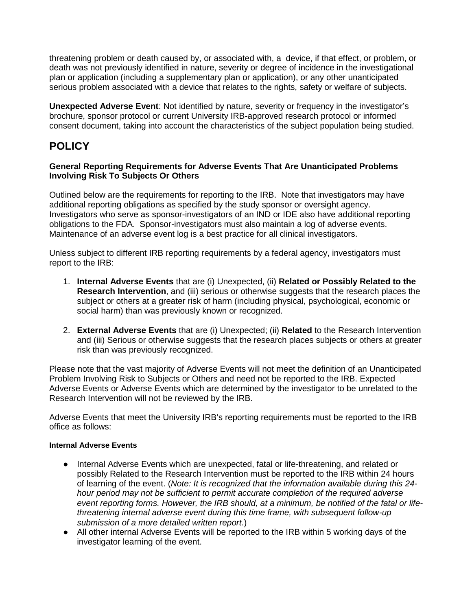threatening problem or death caused by, or associated with, a device, if that effect, or problem, or death was not previously identified in nature, severity or degree of incidence in the investigational plan or application (including a supplementary plan or application), or any other unanticipated serious problem associated with a device that relates to the rights, safety or welfare of subjects.

**Unexpected Adverse Event**: Not identified by nature, severity or frequency in the investigator's brochure, sponsor protocol or current University IRB-approved research protocol or informed consent document, taking into account the characteristics of the subject population being studied.

## **POLICY**

### **General Reporting Requirements for Adverse Events That Are Unanticipated Problems Involving Risk To Subjects Or Others**

Outlined below are the requirements for reporting to the IRB. Note that investigators may have additional reporting obligations as specified by the study sponsor or oversight agency. Investigators who serve as sponsor-investigators of an IND or IDE also have additional reporting obligations to the FDA. Sponsor-investigators must also maintain a log of adverse events. Maintenance of an adverse event log is a best practice for all clinical investigators.

Unless subject to different IRB reporting requirements by a federal agency, investigators must report to the IRB:

- 1. **Internal Adverse Events** that are (i) Unexpected, (ii) **Related or Possibly Related to the Research Intervention**, and (iii) serious or otherwise suggests that the research places the subject or others at a greater risk of harm (including physical, psychological, economic or social harm) than was previously known or recognized.
- 2. **External Adverse Events** that are (i) Unexpected; (ii) **Related** to the Research Intervention and (iii) Serious or otherwise suggests that the research places subjects or others at greater risk than was previously recognized.

Please note that the vast majority of Adverse Events will not meet the definition of an Unanticipated Problem Involving Risk to Subjects or Others and need not be reported to the IRB. Expected Adverse Events or Adverse Events which are determined by the investigator to be unrelated to the Research Intervention will not be reviewed by the IRB.

Adverse Events that meet the University IRB's reporting requirements must be reported to the IRB office as follows:

### **Internal Adverse Events**

- Internal Adverse Events which are unexpected, fatal or life-threatening, and related or possibly Related to the Research Intervention must be reported to the IRB within 24 hours of learning of the event. (*Note: It is recognized that the information available during this 24 hour period may not be sufficient to permit accurate completion of the required adverse event reporting forms. However, the IRB should, at a minimum, be notified of the fatal or lifethreatening internal adverse event during this time frame, with subsequent follow-up submission of a more detailed written report.*)
- All other internal Adverse Events will be reported to the IRB within 5 working days of the investigator learning of the event.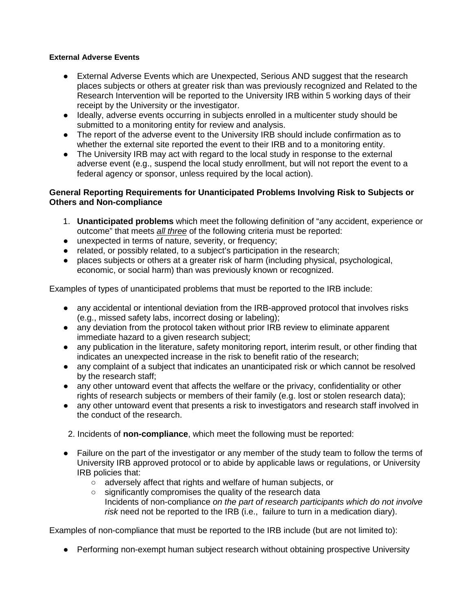#### **External Adverse Events**

- External Adverse Events which are Unexpected, Serious AND suggest that the research places subjects or others at greater risk than was previously recognized and Related to the Research Intervention will be reported to the University IRB within 5 working days of their receipt by the University or the investigator.
- Ideally, adverse events occurring in subjects enrolled in a multicenter study should be submitted to a monitoring entity for review and analysis.
- The report of the adverse event to the University IRB should include confirmation as to whether the external site reported the event to their IRB and to a monitoring entity.
- The University IRB may act with regard to the local study in response to the external adverse event (e.g., suspend the local study enrollment, but will not report the event to a federal agency or sponsor, unless required by the local action).

### **General Reporting Requirements for Unanticipated Problems Involving Risk to Subjects or Others and Non-compliance**

- 1. **Unanticipated problems** which meet the following definition of "any accident, experience or outcome" that meets *all three* of the following criteria must be reported:
- unexpected in terms of nature, severity, or frequency;
- related, or possibly related, to a subject's participation in the research;
- places subjects or others at a greater risk of harm (including physical, psychological, economic, or social harm) than was previously known or recognized.

Examples of types of unanticipated problems that must be reported to the IRB include:

- any accidental or intentional deviation from the IRB-approved protocol that involves risks (e.g., missed safety labs, incorrect dosing or labeling);
- any deviation from the protocol taken without prior IRB review to eliminate apparent immediate hazard to a given research subject;
- any publication in the literature, safety monitoring report, interim result, or other finding that indicates an unexpected increase in the risk to benefit ratio of the research;
- any complaint of a subject that indicates an unanticipated risk or which cannot be resolved by the research staff;
- any other untoward event that affects the welfare or the privacy, confidentiality or other rights of research subjects or members of their family (e.g. lost or stolen research data);
- any other untoward event that presents a risk to investigators and research staff involved in the conduct of the research.
- 2. Incidents of **non-compliance**, which meet the following must be reported:
- Failure on the part of the investigator or any member of the study team to follow the terms of University IRB approved protocol or to abide by applicable laws or regulations, or University IRB policies that:
	- adversely affect that rights and welfare of human subjects, or
	- significantly compromises the quality of the research data Incidents of non-compliance *on the part of research participants which do not involve risk* need not be reported to the IRB (i.e., failure to turn in a medication diary).

Examples of non-compliance that must be reported to the IRB include (but are not limited to):

• Performing non-exempt human subject research without obtaining prospective University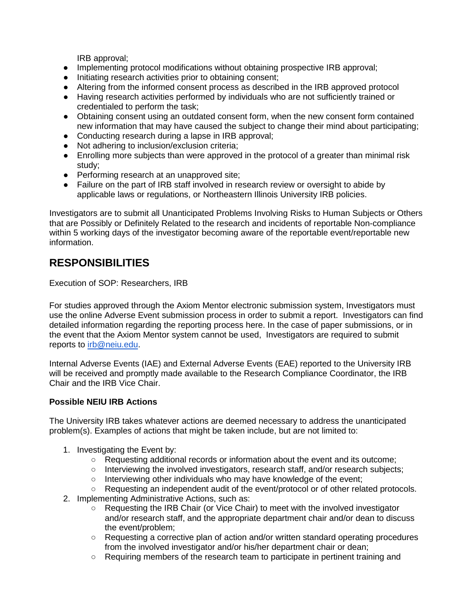IRB approval;

- Implementing protocol modifications without obtaining prospective IRB approval;
- Initiating research activities prior to obtaining consent;
- Altering from the informed consent process as described in the IRB approved protocol
- Having research activities performed by individuals who are not sufficiently trained or credentialed to perform the task;
- Obtaining consent using an outdated consent form, when the new consent form contained new information that may have caused the subject to change their mind about participating;
- Conducting research during a lapse in IRB approval;
- Not adhering to inclusion/exclusion criteria;
- Enrolling more subjects than were approved in the protocol of a greater than minimal risk study;
- Performing research at an unapproved site;
- Failure on the part of IRB staff involved in research review or oversight to abide by applicable laws or regulations, or Northeastern Illinois University IRB policies.

Investigators are to submit all Unanticipated Problems Involving Risks to Human Subjects or Others that are Possibly or Definitely Related to the research and incidents of reportable Non-compliance within 5 working days of the investigator becoming aware of the reportable event/reportable new information.

## **RESPONSIBILITIES**

Execution of SOP: Researchers, IRB

For studies approved through the Axiom Mentor electronic submission system, Investigators must use the online Adverse Event submission process in order to submit a report. Investigators can find detailed information regarding the reporting process here. In the case of paper submissions, or in the event that the Axiom Mentor system cannot be used, Investigators are required to submit reports to [irb@neiu.edu.](mailto:irb@neiu.edu)

Internal Adverse Events (IAE) and External Adverse Events (EAE) reported to the University IRB will be received and promptly made available to the Research Compliance Coordinator, the IRB Chair and the IRB Vice Chair.

## **Possible NEIU IRB Actions**

The University IRB takes whatever actions are deemed necessary to address the unanticipated problem(s). Examples of actions that might be taken include, but are not limited to:

- 1. Investigating the Event by:
	- Requesting additional records or information about the event and its outcome;
	- $\circ$  Interviewing the involved investigators, research staff, and/or research subjects;
	- Interviewing other individuals who may have knowledge of the event;
	- Requesting an independent audit of the event/protocol or of other related protocols.
- 2. Implementing Administrative Actions, such as:
	- Requesting the IRB Chair (or Vice Chair) to meet with the involved investigator and/or research staff, and the appropriate department chair and/or dean to discuss the event/problem;
	- Requesting a corrective plan of action and/or written standard operating procedures from the involved investigator and/or his/her department chair or dean;
	- Requiring members of the research team to participate in pertinent training and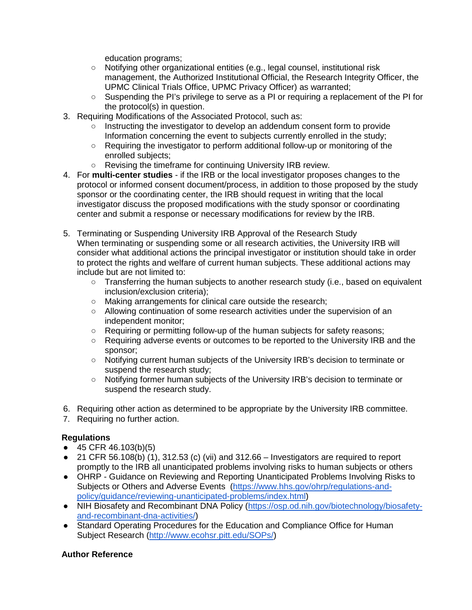education programs;

- Notifying other organizational entities (e.g., legal counsel, institutional risk management, the Authorized Institutional Official, the Research Integrity Officer, the UPMC Clinical Trials Office, UPMC Privacy Officer) as warranted;
- Suspending the PI's privilege to serve as a PI or requiring a replacement of the PI for the protocol(s) in question.
- 3. Requiring Modifications of the Associated Protocol, such as:
	- Instructing the investigator to develop an addendum consent form to provide Information concerning the event to subjects currently enrolled in the study;
	- Requiring the investigator to perform additional follow-up or monitoring of the enrolled subjects;
	- Revising the timeframe for continuing University IRB review.
- 4. For **multi-center studies** if the IRB or the local investigator proposes changes to the protocol or informed consent document/process, in addition to those proposed by the study sponsor or the coordinating center, the IRB should request in writing that the local investigator discuss the proposed modifications with the study sponsor or coordinating center and submit a response or necessary modifications for review by the IRB.
- 5. Terminating or Suspending University IRB Approval of the Research Study When terminating or suspending some or all research activities, the University IRB will consider what additional actions the principal investigator or institution should take in order to protect the rights and welfare of current human subjects. These additional actions may include but are not limited to:
	- $\circ$  Transferring the human subjects to another research study (i.e., based on equivalent inclusion/exclusion criteria);
	- Making arrangements for clinical care outside the research;
	- Allowing continuation of some research activities under the supervision of an independent monitor;
	- Requiring or permitting follow-up of the human subjects for safety reasons;
	- Requiring adverse events or outcomes to be reported to the University IRB and the sponsor;
	- Notifying current human subjects of the University IRB's decision to terminate or suspend the research study;
	- Notifying former human subjects of the University IRB's decision to terminate or suspend the research study.
- 6. Requiring other action as determined to be appropriate by the University IRB committee.
- 7. Requiring no further action.

### **Regulations**

- $\bullet$  45 CFR 46.103(b)(5)
- 21 CFR 56.108(b) (1), 312.53 (c) (vii) and 312.66 Investigators are required to report promptly to the IRB all unanticipated problems involving risks to human subjects or others
- OHRP Guidance on Reviewing and Reporting Unanticipated Problems Involving Risks to Subjects or Others and Adverse Events [\(https://www.hhs.gov/ohrp/regulations-and](https://www.hhs.gov/ohrp/regulations-and-policy/guidance/reviewing-unanticipated-problems/index.html)[policy/guidance/reviewing-unanticipated-problems/index.html\)](https://www.hhs.gov/ohrp/regulations-and-policy/guidance/reviewing-unanticipated-problems/index.html)
- NIH Biosafety and Recombinant DNA Policy [\(https://osp.od.nih.gov/biotechnology/biosafety](https://osp.od.nih.gov/biotechnology/biosafety-and-recombinant-dna-activities/)[and-recombinant-dna-activities/\)](https://osp.od.nih.gov/biotechnology/biosafety-and-recombinant-dna-activities/)
- Standard Operating Procedures for the Education and Compliance Office for Human Subject Research [\(http://www.ecohsr.pitt.edu/SOPs/\)](http://www.ecohsr.pitt.edu/SOPs/)

### **Author Reference**